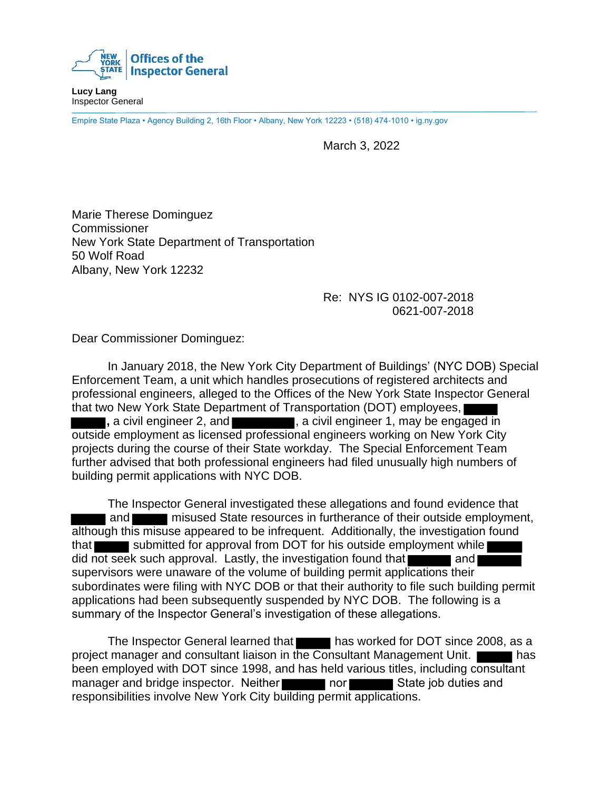

**Lucy Lang** Inspector General

Empire State Plaza • Agency Building 2, 16th Floor • Albany, New York 12223 • (518) 474-1010 • ig.ny.gov

March 3, 2022

Marie Therese Dominguez **Commissioner** New York State Department of Transportation 50 Wolf Road Albany, New York 12232

> Re: NYS IG 0102-007-2018 0621-007-2018

Dear Commissioner Dominguez:

In January 2018, the New York City Department of Buildings' (NYC DOB) Special Enforcement Team, a unit which handles prosecutions of registered architects and professional engineers, alleged to the Offices of the New York State Inspector General that two New York State Department of Transportation (DOT) employees, **,** a civil engineer 2, and  $\blacksquare$ , a civil engineer 1, may be engaged in outside employment as licensed professional engineers working on New York City projects during the course of their State workday. The Special Enforcement Team further advised that both professional engineers had filed unusually high numbers of building permit applications with NYC DOB.

The Inspector General investigated these allegations and found evidence that and **misused State resources in furtherance of their outside employment,** although this misuse appeared to be infrequent. Additionally, the investigation found that submitted for approval from DOT for his outside employment while did not seek such approval. Lastly, the investigation found that and supervisors were unaware of the volume of building permit applications their subordinates were filing with NYC DOB or that their authority to file such building permit applications had been subsequently suspended by NYC DOB. The following is a summary of the Inspector General's investigation of these allegations.

The Inspector General learned that has worked for DOT since 2008, as a project manager and consultant liaison in the Consultant Management Unit. has been employed with DOT since 1998, and has held various titles, including consultant manager and bridge inspector. Neither nor nor State job duties and responsibilities involve New York City building permit applications.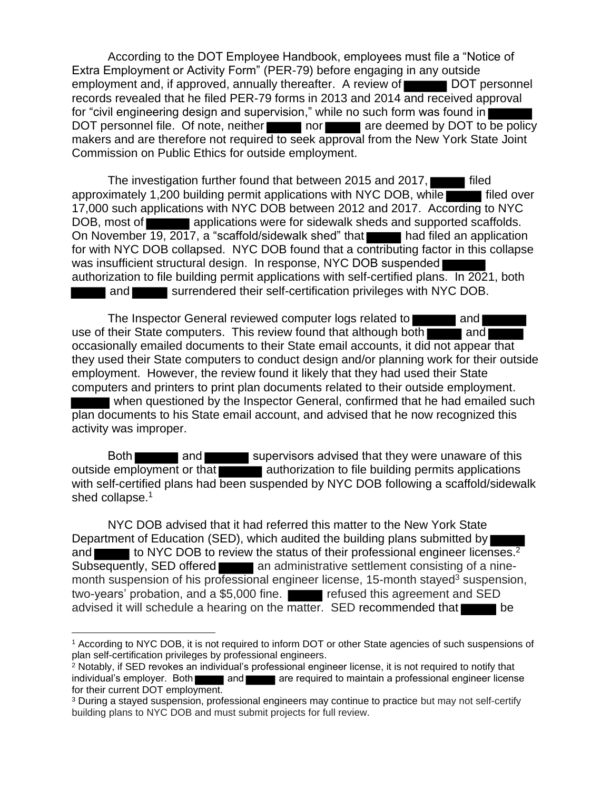According to the DOT Employee Handbook, employees must file a "Notice of Extra Employment or Activity Form" (PER-79) before engaging in any outside employment and, if approved, annually thereafter. A review of DOT personnel records revealed that he filed PER-79 forms in 2013 and 2014 and received approval for "civil engineering design and supervision," while no such form was found in DOT personnel file. Of note, neither nor are deemed by DOT to be policy makers and are therefore not required to seek approval from the New York State Joint Commission on Public Ethics for outside employment.

The investigation further found that between 2015 and 2017, approximately 1,200 building permit applications with NYC DOB, while filed over 17,000 such applications with NYC DOB between 2012 and 2017. According to NYC DOB, most of **a controller applications were for sidewalk sheds and supported scaffolds.** On November 19, 2017, a "scaffold/sidewalk shed" that had filed an application for with NYC DOB collapsed. NYC DOB found that a contributing factor in this collapse was insufficient structural design. In response, NYC DOB suspended authorization to file building permit applications with self-certified plans. In 2021, both and surrendered their self-certification privileges with NYC DOB.

The Inspector General reviewed computer logs related to **an and** and use of their State computers. This review found that although both and occasionally emailed documents to their State email accounts, it did not appear that they used their State computers to conduct design and/or planning work for their outside employment. However, the review found it likely that they had used their State computers and printers to print plan documents related to their outside employment.

 when questioned by the Inspector General, confirmed that he had emailed such plan documents to his State email account, and advised that he now recognized this activity was improper.

Both and supervisors advised that they were unaware of this outside employment or that authorization to file building permits applications with self-certified plans had been suspended by NYC DOB following a scaffold/sidewalk shed collapse.<sup>1</sup>

NYC DOB advised that it had referred this matter to the New York State Department of Education (SED), which audited the building plans submitted by and  $\blacksquare$  to NYC DOB to review the status of their professional engineer licenses.<sup>2</sup> Subsequently, SED offered an administrative settlement consisting of a ninemonth suspension of his professional engineer license, 15-month stayed<sup>3</sup> suspension, two-years' probation, and a \$5,000 fine. **Fig. 1.1** refused this agreement and SED advised it will schedule a hearing on the matter. SED recommended that be

<sup>1</sup> According to NYC DOB, it is not required to inform DOT or other State agencies of such suspensions of plan self-certification privileges by professional engineers.

<sup>2</sup> Notably, if SED revokes an individual's professional engineer license, it is not required to notify that individual's employer. Both and are required to maintain a professional engineer license for their current DOT employment.

<sup>3</sup> During a stayed suspension, professional engineers may continue to practice but may not self-certify building plans to NYC DOB and must submit projects for full review.